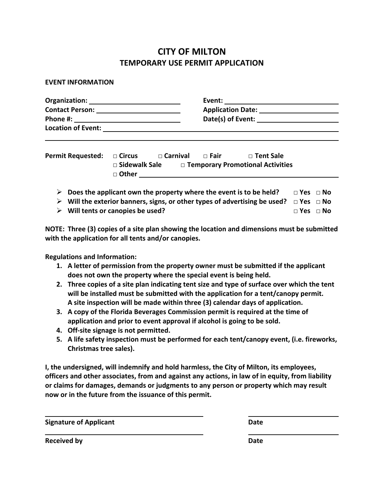## **CITY OF MILTON TEMPORARY USE PERMIT APPLICATION**

## **EVENT INFORMATION**

|   | <b>Permit Requested:</b> $\Box$ Circus $\Box$ Carnival $\Box$ Fair $\Box$ Tent Sale<br>$\square$ Sidewalk Sale $\square$ Temporary Promotional Activities                            |
|---|--------------------------------------------------------------------------------------------------------------------------------------------------------------------------------------|
| ➤ | Does the applicant own the property where the event is to be held? $\Box$ Yes $\Box$ No<br>≻ Will the exterior banners, signs, or other types of advertising be used? $□$ Yes $□$ No |

**Will tents or canopies be used? □ Yes □ No**

**NOTE: Three (3) copies of a site plan showing the location and dimensions must be submitted with the application for all tents and/or canopies.**

**Regulations and Information:**

- **1. A letter of permission from the property owner must be submitted if the applicant does not own the property where the special event is being held.**
- **2. Three copies of a site plan indicating tent size and type of surface over which the tent will be installed must be submitted with the application for a tent/canopy permit. A site inspection will be made within three (3) calendar days of application.**
- **3. A copy of the Florida Beverages Commission permit is required at the time of application and prior to event approval if alcohol is going to be sold.**
- **4. Off‐site signage is not permitted.**
- **5. A life safety inspection must be performed for each tent/canopy event, (i.e. fireworks, Christmas tree sales).**

**I, the undersigned, will indemnify and hold harmless, the City of Milton, its employees, officers and other associates, from and against any actions, in law of in equity, from liability or claims for damages, demands or judgments to any person or property which may result now or in the future from the issuance of this permit.**

**Signature of Applicant Date**

**Received by Date**